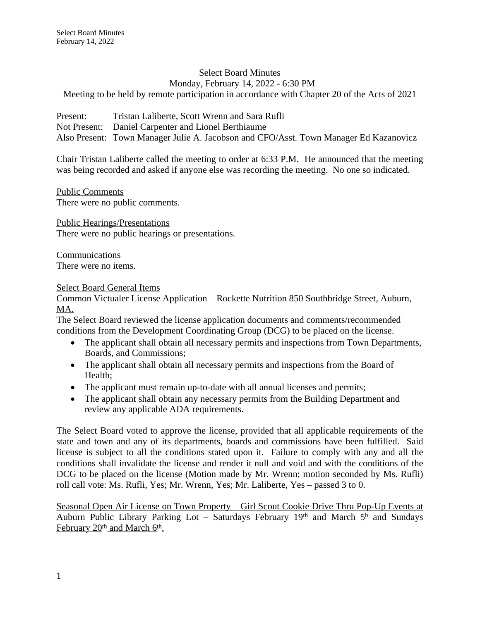#### Select Board Minutes Monday, February 14, 2022 - 6:30 PM Meeting to be held by remote participation in accordance with Chapter 20 of the Acts of 2021

Present: Tristan Laliberte, Scott Wrenn and Sara Rufli Not Present: Daniel Carpenter and Lionel Berthiaume Also Present: Town Manager Julie A. Jacobson and CFO/Asst. Town Manager Ed Kazanovicz

Chair Tristan Laliberte called the meeting to order at 6:33 P.M. He announced that the meeting was being recorded and asked if anyone else was recording the meeting. No one so indicated.

Public Comments There were no public comments.

Public Hearings/Presentations There were no public hearings or presentations.

Communications There were no items.

# Select Board General Items

Common Victualer License Application – Rockette Nutrition 850 Southbridge Street, Auburn, MA.

The Select Board reviewed the license application documents and comments/recommended conditions from the Development Coordinating Group (DCG) to be placed on the license.

- The applicant shall obtain all necessary permits and inspections from Town Departments, Boards, and Commissions;
- The applicant shall obtain all necessary permits and inspections from the Board of Health;
- The applicant must remain up-to-date with all annual licenses and permits;
- The applicant shall obtain any necessary permits from the Building Department and review any applicable ADA requirements.

The Select Board voted to approve the license, provided that all applicable requirements of the state and town and any of its departments, boards and commissions have been fulfilled. Said license is subject to all the conditions stated upon it. Failure to comply with any and all the conditions shall invalidate the license and render it null and void and with the conditions of the DCG to be placed on the license (Motion made by Mr. Wrenn; motion seconded by Ms. Rufli) roll call vote: Ms. Rufli, Yes; Mr. Wrenn, Yes; Mr. Laliberte, Yes – passed 3 to 0.

Seasonal Open Air License on Town Property – Girl Scout Cookie Drive Thru Pop-Up Events at Auburn Public Library Parking Lot – Saturdays February 19th and March 5<sup>h</sup> and Sundays February 20<sup>th</sup> and March 6<sup>th</sup>.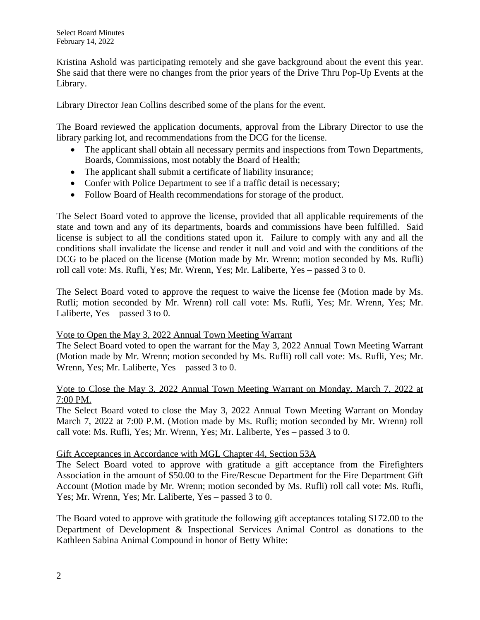Kristina Ashold was participating remotely and she gave background about the event this year. She said that there were no changes from the prior years of the Drive Thru Pop-Up Events at the Library.

Library Director Jean Collins described some of the plans for the event.

The Board reviewed the application documents, approval from the Library Director to use the library parking lot, and recommendations from the DCG for the license.

- The applicant shall obtain all necessary permits and inspections from Town Departments, Boards, Commissions, most notably the Board of Health;
- The applicant shall submit a certificate of liability insurance;
- Confer with Police Department to see if a traffic detail is necessary;
- Follow Board of Health recommendations for storage of the product.

The Select Board voted to approve the license, provided that all applicable requirements of the state and town and any of its departments, boards and commissions have been fulfilled. Said license is subject to all the conditions stated upon it. Failure to comply with any and all the conditions shall invalidate the license and render it null and void and with the conditions of the DCG to be placed on the license (Motion made by Mr. Wrenn; motion seconded by Ms. Rufli) roll call vote: Ms. Rufli, Yes; Mr. Wrenn, Yes; Mr. Laliberte, Yes – passed 3 to 0.

The Select Board voted to approve the request to waive the license fee (Motion made by Ms. Rufli; motion seconded by Mr. Wrenn) roll call vote: Ms. Rufli, Yes; Mr. Wrenn, Yes; Mr. Laliberte, Yes – passed 3 to 0.

### Vote to Open the May 3, 2022 Annual Town Meeting Warrant

The Select Board voted to open the warrant for the May 3, 2022 Annual Town Meeting Warrant (Motion made by Mr. Wrenn; motion seconded by Ms. Rufli) roll call vote: Ms. Rufli, Yes; Mr. Wrenn, Yes; Mr. Laliberte, Yes – passed 3 to 0.

## Vote to Close the May 3, 2022 Annual Town Meeting Warrant on Monday, March 7, 2022 at 7:00 PM.

The Select Board voted to close the May 3, 2022 Annual Town Meeting Warrant on Monday March 7, 2022 at 7:00 P.M. (Motion made by Ms. Rufli; motion seconded by Mr. Wrenn) roll call vote: Ms. Rufli, Yes; Mr. Wrenn, Yes; Mr. Laliberte, Yes – passed 3 to 0.

# Gift Acceptances in Accordance with MGL Chapter 44, Section 53A

The Select Board voted to approve with gratitude a gift acceptance from the Firefighters Association in the amount of \$50.00 to the Fire/Rescue Department for the Fire Department Gift Account (Motion made by Mr. Wrenn; motion seconded by Ms. Rufli) roll call vote: Ms. Rufli, Yes; Mr. Wrenn, Yes; Mr. Laliberte, Yes – passed 3 to 0.

The Board voted to approve with gratitude the following gift acceptances totaling \$172.00 to the Department of Development & Inspectional Services Animal Control as donations to the Kathleen Sabina Animal Compound in honor of Betty White: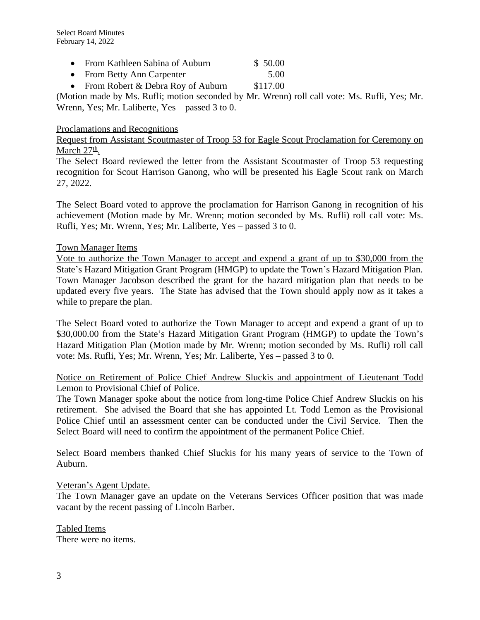- From Kathleen Sabina of Auburn \$ 50.00
- From Betty Ann Carpenter 5.00
- From Robert & Debra Roy of Auburn \$117.00

(Motion made by Ms. Rufli; motion seconded by Mr. Wrenn) roll call vote: Ms. Rufli, Yes; Mr. Wrenn, Yes; Mr. Laliberte, Yes – passed 3 to 0.

### Proclamations and Recognitions

Request from Assistant Scoutmaster of Troop 53 for Eagle Scout Proclamation for Ceremony on March 27<sup>th</sup>.

The Select Board reviewed the letter from the Assistant Scoutmaster of Troop 53 requesting recognition for Scout Harrison Ganong, who will be presented his Eagle Scout rank on March 27, 2022.

The Select Board voted to approve the proclamation for Harrison Ganong in recognition of his achievement (Motion made by Mr. Wrenn; motion seconded by Ms. Rufli) roll call vote: Ms. Rufli, Yes; Mr. Wrenn, Yes; Mr. Laliberte, Yes – passed 3 to 0.

### Town Manager Items

Vote to authorize the Town Manager to accept and expend a grant of up to \$30,000 from the State's Hazard Mitigation Grant Program (HMGP) to update the Town's Hazard Mitigation Plan. Town Manager Jacobson described the grant for the hazard mitigation plan that needs to be updated every five years. The State has advised that the Town should apply now as it takes a while to prepare the plan.

The Select Board voted to authorize the Town Manager to accept and expend a grant of up to \$30,000.00 from the State's Hazard Mitigation Grant Program (HMGP) to update the Town's Hazard Mitigation Plan (Motion made by Mr. Wrenn; motion seconded by Ms. Rufli) roll call vote: Ms. Rufli, Yes; Mr. Wrenn, Yes; Mr. Laliberte, Yes – passed 3 to 0.

## Notice on Retirement of Police Chief Andrew Sluckis and appointment of Lieutenant Todd Lemon to Provisional Chief of Police.

The Town Manager spoke about the notice from long-time Police Chief Andrew Sluckis on his retirement. She advised the Board that she has appointed Lt. Todd Lemon as the Provisional Police Chief until an assessment center can be conducted under the Civil Service. Then the Select Board will need to confirm the appointment of the permanent Police Chief.

Select Board members thanked Chief Sluckis for his many years of service to the Town of Auburn.

### Veteran's Agent Update.

The Town Manager gave an update on the Veterans Services Officer position that was made vacant by the recent passing of Lincoln Barber.

Tabled Items There were no items.